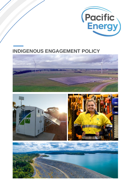

# **INDIGENOUS ENGAGEMENT POLICY**





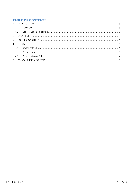## **TABLE OF CONTENTS**

| 4.2 |  |
|-----|--|
|     |  |
|     |  |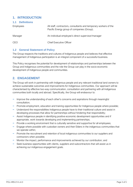### <span id="page-2-0"></span>**1. INTRODUCTION**

<span id="page-2-1"></span>

| <b>Definitions</b><br>1.1 |
|---------------------------|
|---------------------------|

| <b>Employees</b> | All staff, contractors, consultants and temporary workers of the<br>Pacific Energy group of companies (Group). |
|------------------|----------------------------------------------------------------------------------------------------------------|
| Manager          | An individual employee's direct supervisor/manager                                                             |
| <b>CEO</b>       | <b>Chief Executive Officer</b>                                                                                 |

#### <span id="page-2-2"></span>**1.2 General Statement of Policy**

The Group respects the traditions and cultures of Indigenous people and believes that effective management of Indigenous participation is an integral component of a successful business.

This Policy recognises the potential for development of relationships and partnerships between the Group and Indigenous communities and the role the Group can play in the socio-economic development of Indigenous people and communities.

## <span id="page-2-3"></span>**2. ENGAGEMENT**

The Group will work in partnership with Indigenous people and any relevant traditional land owners to achieve sustainable outcomes and improvements for Indigenous communities. Our approach will be characterised by effective two-way communication, consultation and partnering with all Indigenous communities both locally and abroad. Specifically, the Group will endeavour to:

- − Improve the understanding of each other's concerns and aspirations through meaningful consultation;
- − Promote employment, education and training opportunities for Indigenous people where possible;
- − Understand the responsibilities Indigenous people have to their traditional culture and assist in developing processes that allow for partnerships without hindering that responsibility;
- − Assist Indigenous people in identifying positive economic development opportunities and if appropriate, work towards developing and implementing partnerships;
- − Provide a working environment that is culturally sensitive and supportive for all employees;
- − Engage where possible with custodian owners and their Elders in the indigenous communities that we operate within;
- − Promote the recruitment and retention of local indigenous communities to our suppliers and contractors when possible;
- − Monitor the impact, performance and improvements achieved by our contribution; and
- − Seek business opportunities with clients, suppliers and subcontractors that will assist us in achieving our indigenous engagement goals.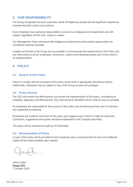#### <span id="page-3-0"></span>**3. OUR RESPONSIBILITY**

The Group recognises the local customary needs of Indigenous people and the significant importance of preserving their culture and customs.

Every employee has a personal responsibility to ensure our employees are treated fairly and with respect regardless of their race, culture or values.

Our Management Team will ensure that Indigenous employment and business opportunities are considered wherever possible.

Leaders at all levels in the Group are accountable to communicate the requirements of this Policy and any other policy to all our employees, contractors, visitors and interested parties and involve them in its implementation.

## <span id="page-3-1"></span>**4. POLICY**

#### <span id="page-3-2"></span>**4.1 Breach of this Policy**

Failure to comply with the principles of this policy could result in appropriate disciplinary actions. Additionally, individuals may be subject to loss of the Group access and privileges.

#### <span id="page-3-3"></span>**4.2 Policy Review**

The CEO will monitor the effectiveness and review the implementation of this policy, considering its suitability, adequacy and effectiveness. Any improvements identified will be made as soon as possible.

All employees are responsible for the success of this policy and should ensure they use it to disclose any suspected wrongdoing.

Employees are invited to comment on this policy and suggest ways in which it might be improved. Comments, suggestions and queries should be addressed to the Company Secretary.

This policy will be reviewed annually by 20 December.

#### <span id="page-3-4"></span>**4.3 Dissemination of Policy**

A copy of this policy will be provided to each employee upon commencement of work and additional copies will be made available upon request.

Jamie Cullen Group CEO 7 October 2020